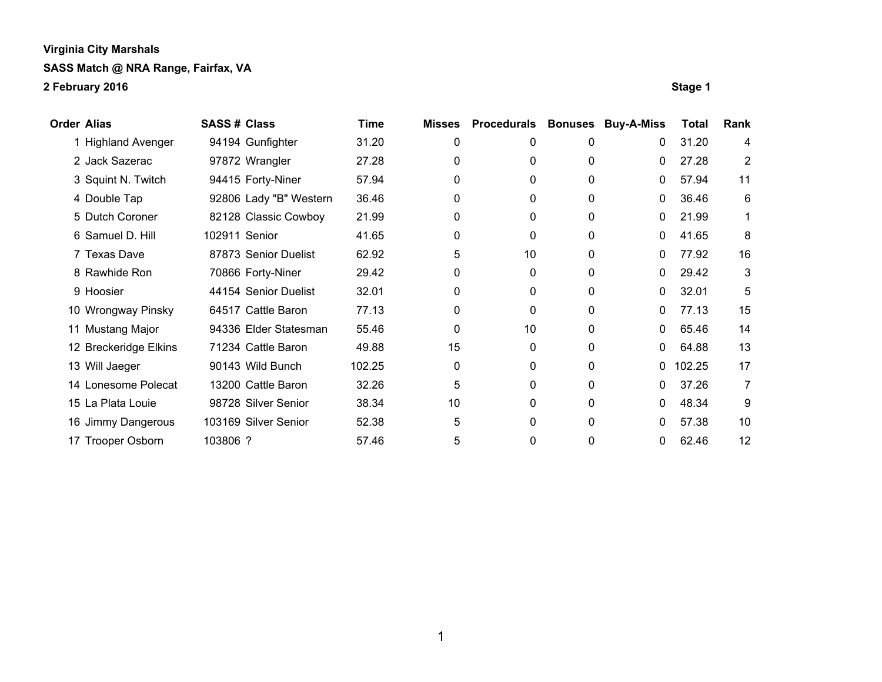| Order Alias           | <b>SASS# Class</b>     | Time   | <b>Misses</b> | <b>Procedurals</b> | <b>Bonuses</b> | <b>Buy-A-Miss</b> | Total  | Rank |
|-----------------------|------------------------|--------|---------------|--------------------|----------------|-------------------|--------|------|
| 1 Highland Avenger    | 94194 Gunfighter       | 31.20  | 0             | 0                  | 0              | 0                 | 31.20  | 4    |
| 2 Jack Sazerac        | 97872 Wrangler         | 27.28  | 0             | 0                  | 0              | 0                 | 27.28  | 2    |
| 3 Squint N. Twitch    | 94415 Forty-Niner      | 57.94  | 0             | 0                  | 0              | 0                 | 57.94  | 11   |
| 4 Double Tap          | 92806 Lady "B" Western | 36.46  | 0             | 0                  | 0              | 0                 | 36.46  | 6    |
| 5 Dutch Coroner       | 82128 Classic Cowboy   | 21.99  | 0             | 0                  | 0              | 0                 | 21.99  | 1    |
| 6 Samuel D. Hill      | 102911 Senior          | 41.65  | 0             | 0                  | 0              | 0                 | 41.65  | 8    |
| 7 Texas Dave          | 87873 Senior Duelist   | 62.92  | 5             | 10                 | 0              | 0                 | 77.92  | 16   |
| 8 Rawhide Ron         | 70866 Forty-Niner      | 29.42  | 0             | $\Omega$           | 0              | 0                 | 29.42  | 3    |
| 9 Hoosier             | 44154 Senior Duelist   | 32.01  | 0             | 0                  | 0              | 0                 | 32.01  | 5    |
| 10 Wrongway Pinsky    | 64517 Cattle Baron     | 77.13  | 0             | 0                  | 0              | 0                 | 77.13  | 15   |
| 11 Mustang Major      | 94336 Elder Statesman  | 55.46  | 0             | 10                 | 0              | 0                 | 65.46  | 14   |
| 12 Breckeridge Elkins | 71234 Cattle Baron     | 49.88  | 15            | 0                  | 0              | 0                 | 64.88  | 13   |
| 13 Will Jaeger        | 90143 Wild Bunch       | 102.25 | 0             | 0                  | 0              | 0                 | 102.25 | 17   |
| 14 Lonesome Polecat   | 13200 Cattle Baron     | 32.26  | 5             | 0                  | 0              | 0                 | 37.26  | 7    |
| 15 La Plata Louie     | 98728 Silver Senior    | 38.34  | 10            | 0                  | 0              | 0                 | 48.34  | 9    |
| 16 Jimmy Dangerous    | 103169 Silver Senior   | 52.38  | 5             | 0                  | 0              | 0                 | 57.38  | 10   |
| 17 Trooper Osborn     | 103806 ?               | 57.46  | 5             | 0                  | 0              | 0                 | 62.46  | 12   |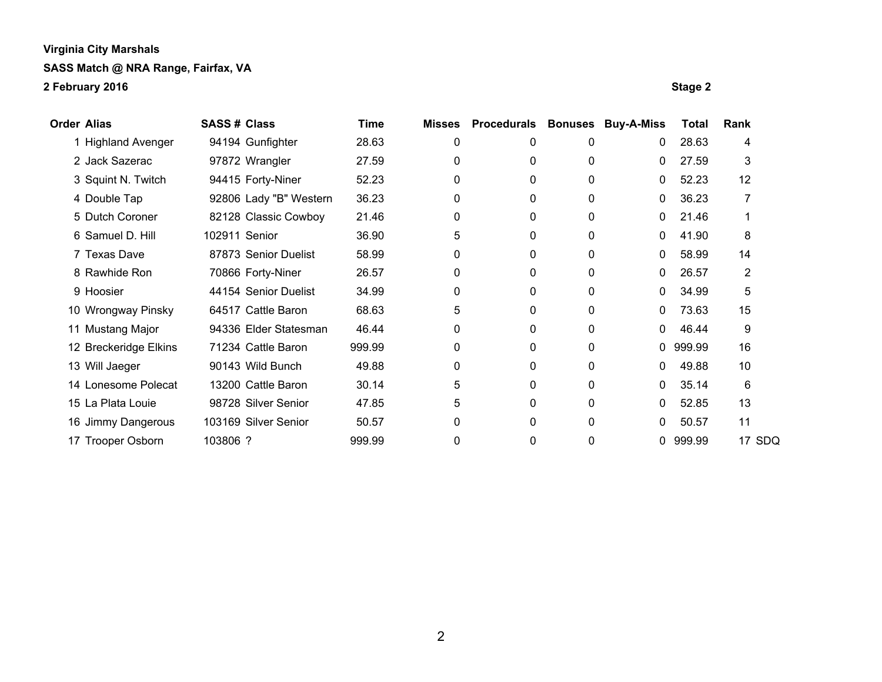| <b>Order Alias</b> |                       | <b>SASS# Class</b> |                        | Time   | <b>Misses</b> | <b>Procedurals</b> | <b>Bonuses</b> | <b>Buy-A-Miss</b> | Total    | Rank           |  |
|--------------------|-----------------------|--------------------|------------------------|--------|---------------|--------------------|----------------|-------------------|----------|----------------|--|
|                    | 1 Highland Avenger    |                    | 94194 Gunfighter       | 28.63  | 0             | 0                  | 0              | $\mathbf{0}$      | 28.63    | 4              |  |
|                    | 2 Jack Sazerac        |                    | 97872 Wrangler         | 27.59  | 0             | 0                  | 0              | $\mathbf{0}$      | 27.59    | 3              |  |
|                    | 3 Squint N. Twitch    |                    | 94415 Forty-Niner      | 52.23  | 0             | 0                  | 0              | $\mathbf{0}$      | 52.23    | 12             |  |
|                    | 4 Double Tap          |                    | 92806 Lady "B" Western | 36.23  | 0             | 0                  | 0              | $\mathbf 0$       | 36.23    | 7              |  |
|                    | 5 Dutch Coroner       |                    | 82128 Classic Cowboy   | 21.46  | 0             | 0                  | 0              | $\mathbf 0$       | 21.46    |                |  |
|                    | 6 Samuel D. Hill      | 102911 Senior      |                        | 36.90  | 5             | 0                  | $\mathbf 0$    | $\mathbf{0}$      | 41.90    | 8              |  |
|                    | 7 Texas Dave          |                    | 87873 Senior Duelist   | 58.99  | 0             | 0                  | 0              | 0                 | 58.99    | 14             |  |
|                    | 8 Rawhide Ron         |                    | 70866 Forty-Niner      | 26.57  | 0             | 0                  | $\mathbf 0$    | 0                 | 26.57    | $\overline{2}$ |  |
|                    | 9 Hoosier             |                    | 44154 Senior Duelist   | 34.99  | 0             | 0                  | 0              | $\mathbf 0$       | 34.99    | 5              |  |
|                    | 10 Wrongway Pinsky    |                    | 64517 Cattle Baron     | 68.63  | 5             | 0                  | 0              | 0                 | 73.63    | 15             |  |
|                    | 11 Mustang Major      |                    | 94336 Elder Statesman  | 46.44  | 0             | 0                  | 0              | $\mathbf{0}$      | 46.44    | 9              |  |
|                    | 12 Breckeridge Elkins |                    | 71234 Cattle Baron     | 999.99 | 0             | 0                  | 0              |                   | 0 999.99 | 16             |  |
|                    | 13 Will Jaeger        |                    | 90143 Wild Bunch       | 49.88  | 0             | 0                  | 0              | $\mathbf 0$       | 49.88    | 10             |  |
|                    | 14 Lonesome Polecat   |                    | 13200 Cattle Baron     | 30.14  | 5             | 0                  | $\Omega$       | $\mathbf{0}$      | 35.14    | 6              |  |
|                    | 15 La Plata Louie     |                    | 98728 Silver Senior    | 47.85  | 5             | 0                  | 0              | 0                 | 52.85    | 13             |  |
|                    | 16 Jimmy Dangerous    |                    | 103169 Silver Senior   | 50.57  | 0             | 0                  | $\Omega$       | 0                 | 50.57    | 11             |  |
|                    | 17 Trooper Osborn     | 103806 ?           |                        | 999.99 | 0             | 0                  | 0              | 0                 | 999.99   | 17 SDQ         |  |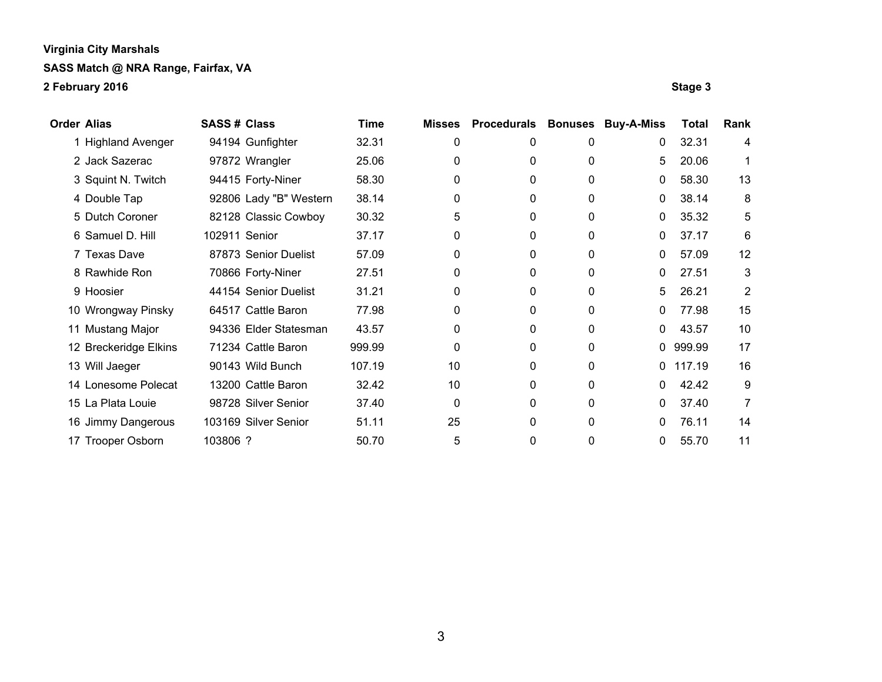| Order Alias           | <b>SASS# Class</b>     | Time   | <b>Misses</b> | <b>Procedurals</b> | <b>Bonuses</b> | <b>Buy-A-Miss</b> | Total  | Rank |
|-----------------------|------------------------|--------|---------------|--------------------|----------------|-------------------|--------|------|
| 1 Highland Avenger    | 94194 Gunfighter       | 32.31  | 0             | 0                  | 0              | 0                 | 32.31  | 4    |
| 2 Jack Sazerac        | 97872 Wrangler         | 25.06  | 0             | 0                  | 0              | 5                 | 20.06  |      |
| 3 Squint N. Twitch    | 94415 Forty-Niner      | 58.30  | 0             | 0                  | 0              | 0                 | 58.30  | 13   |
| 4 Double Tap          | 92806 Lady "B" Western | 38.14  | 0             | 0                  | 0              | 0                 | 38.14  | 8    |
| 5 Dutch Coroner       | 82128 Classic Cowboy   | 30.32  | 5             | 0                  | 0              | 0                 | 35.32  | 5    |
| 6 Samuel D. Hill      | 102911 Senior          | 37.17  | 0             | 0                  | 0              | 0                 | 37.17  | 6    |
| 7 Texas Dave          | 87873 Senior Duelist   | 57.09  | 0             | 0                  | 0              | 0                 | 57.09  | 12   |
| 8 Rawhide Ron         | 70866 Forty-Niner      | 27.51  | 0             | 0                  | 0              | 0                 | 27.51  | 3    |
| 9 Hoosier             | 44154 Senior Duelist   | 31.21  | 0             | 0                  | 0              | 5                 | 26.21  | 2    |
| 10 Wrongway Pinsky    | 64517 Cattle Baron     | 77.98  | 0             | 0                  | 0              | 0                 | 77.98  | 15   |
| 11 Mustang Major      | 94336 Elder Statesman  | 43.57  | 0             | 0                  | 0              | 0                 | 43.57  | 10   |
| 12 Breckeridge Elkins | 71234 Cattle Baron     | 999.99 | 0             | 0                  | 0              | 0                 | 999.99 | 17   |
| 13 Will Jaeger        | 90143 Wild Bunch       | 107.19 | 10            | 0                  | 0              | $\mathbf{0}$      | 117.19 | 16   |
| 14 Lonesome Polecat   | 13200 Cattle Baron     | 32.42  | 10            | 0                  | 0              | 0                 | 42.42  | 9    |
| 15 La Plata Louie     | 98728 Silver Senior    | 37.40  | $\Omega$      | 0                  | $\Omega$       | 0                 | 37.40  | 7    |
| 16 Jimmy Dangerous    | 103169 Silver Senior   | 51.11  | 25            | 0                  | 0              | 0                 | 76.11  | 14   |
| 17 Trooper Osborn     | 103806 ?               | 50.70  | 5             | 0                  | 0              | 0                 | 55.70  | 11   |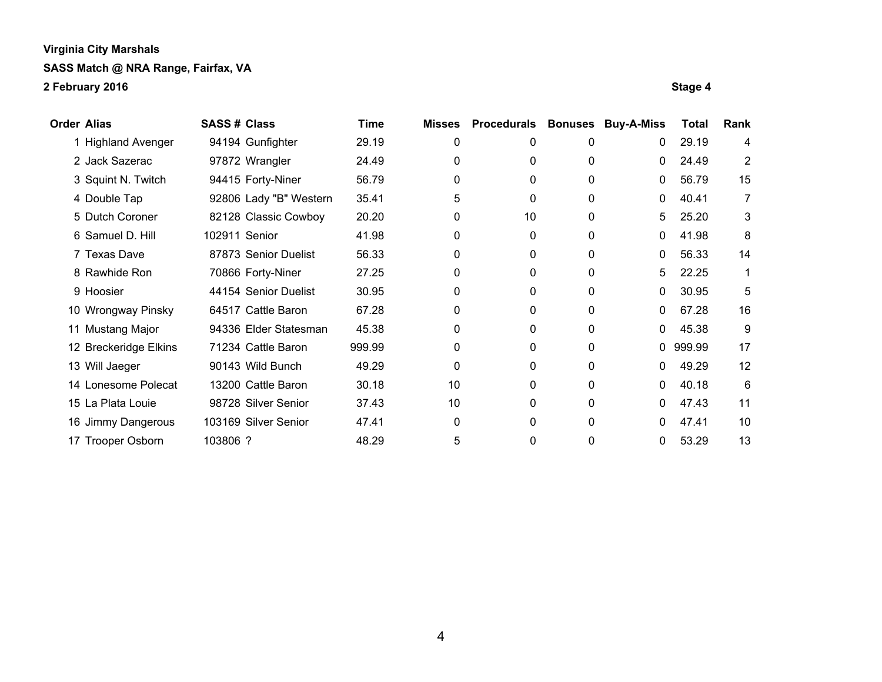| <b>Order Alias</b>    | <b>SASS# Class</b>     | Time   | <b>Misses</b> | <b>Procedurals</b> | <b>Bonuses</b> | <b>Buy-A-Miss</b> | Total  | Rank |
|-----------------------|------------------------|--------|---------------|--------------------|----------------|-------------------|--------|------|
| 1 Highland Avenger    | 94194 Gunfighter       | 29.19  | 0             | 0                  | 0              | 0                 | 29.19  | 4    |
| 2 Jack Sazerac        | 97872 Wrangler         | 24.49  | 0             | 0                  | 0              | 0                 | 24.49  | 2    |
| 3 Squint N. Twitch    | 94415 Forty-Niner      | 56.79  | 0             | 0                  | 0              | 0                 | 56.79  | 15   |
| 4 Double Tap          | 92806 Lady "B" Western | 35.41  | 5             | 0                  | 0              | 0                 | 40.41  | 7    |
| 5 Dutch Coroner       | 82128 Classic Cowboy   | 20.20  | 0             | 10                 | 0              | 5.                | 25.20  | 3    |
| 6 Samuel D. Hill      | 102911 Senior          | 41.98  | 0             | 0                  | 0              | 0                 | 41.98  | 8    |
| 7 Texas Dave          | 87873 Senior Duelist   | 56.33  | 0             | 0                  | 0              | 0                 | 56.33  | 14   |
| 8 Rawhide Ron         | 70866 Forty-Niner      | 27.25  | 0             | 0                  | 0              | 5                 | 22.25  | 1    |
| 9 Hoosier             | 44154 Senior Duelist   | 30.95  | 0             | 0                  | 0              | 0                 | 30.95  | 5    |
| 10 Wrongway Pinsky    | 64517 Cattle Baron     | 67.28  | 0             | 0                  | 0              | 0                 | 67.28  | 16   |
| 11 Mustang Major      | 94336 Elder Statesman  | 45.38  | 0             | 0                  | 0              | 0                 | 45.38  | 9    |
| 12 Breckeridge Elkins | 71234 Cattle Baron     | 999.99 | 0             | 0                  | 0              | $\mathbf{0}$      | 999.99 | 17   |
| 13 Will Jaeger        | 90143 Wild Bunch       | 49.29  | $\Omega$      | 0                  | 0              | 0                 | 49.29  | 12   |
| 14 Lonesome Polecat   | 13200 Cattle Baron     | 30.18  | 10            | 0                  | 0              | 0                 | 40.18  | 6    |
| 15 La Plata Louie     | 98728 Silver Senior    | 37.43  | 10            | 0                  | $\Omega$       | 0                 | 47.43  | 11   |
| 16 Jimmy Dangerous    | 103169 Silver Senior   | 47.41  | 0             | 0                  | 0              | 0                 | 47.41  | 10   |
| 17 Trooper Osborn     | 103806 ?               | 48.29  | 5             | 0                  | 0              | 0                 | 53.29  | 13   |